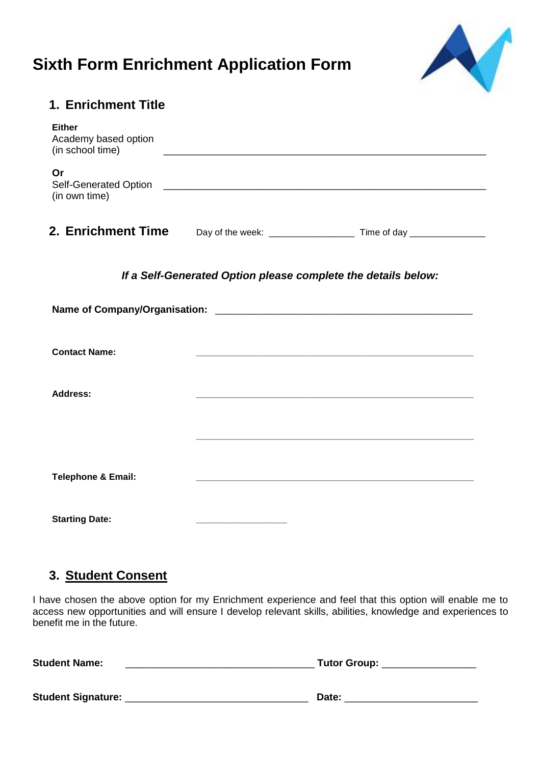## **Sixth Form Enrichment Application Form**



| 1. Enrichment Title                                           |  |  |  |  |
|---------------------------------------------------------------|--|--|--|--|
| <b>Either</b><br>Academy based option<br>(in school time)     |  |  |  |  |
| Or<br>(in own time)                                           |  |  |  |  |
|                                                               |  |  |  |  |
| If a Self-Generated Option please complete the details below: |  |  |  |  |
|                                                               |  |  |  |  |
| <b>Contact Name:</b>                                          |  |  |  |  |
| <b>Address:</b>                                               |  |  |  |  |
|                                                               |  |  |  |  |
| <b>Telephone &amp; Email:</b>                                 |  |  |  |  |
| <b>Starting Date:</b>                                         |  |  |  |  |

## **3. Student Consent**

I have chosen the above option for my Enrichment experience and feel that this option will enable me to access new opportunities and will ensure I develop relevant skills, abilities, knowledge and experiences to benefit me in the future.

| <b>Student Name:</b>      | <b>Tutor Group:</b> |
|---------------------------|---------------------|
| <b>Student Signature:</b> | Date:               |